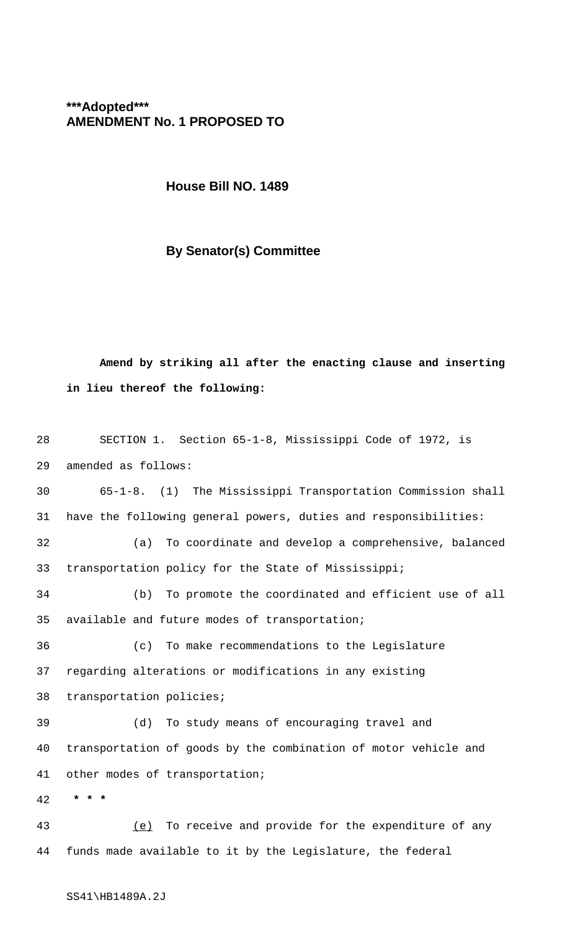## **\*\*\*Adopted\*\*\* AMENDMENT No. 1 PROPOSED TO**

**House Bill NO. 1489**

## **By Senator(s) Committee**

**Amend by striking all after the enacting clause and inserting in lieu thereof the following:**

| 28 | SECTION 1. Section 65-1-8, Mississippi Code of 1972, is         |
|----|-----------------------------------------------------------------|
| 29 | amended as follows:                                             |
| 30 | 65-1-8. (1) The Mississippi Transportation Commission shall     |
| 31 | have the following general powers, duties and responsibilities: |
| 32 | To coordinate and develop a comprehensive, balanced<br>(a)      |
| 33 | transportation policy for the State of Mississippi;             |
| 34 | To promote the coordinated and efficient use of all<br>(b)      |
| 35 | available and future modes of transportation;                   |
| 36 | (c)<br>To make recommendations to the Legislature               |
| 37 | regarding alterations or modifications in any existing          |
| 38 | transportation policies;                                        |
| 39 | To study means of encouraging travel and<br>(d)                 |
| 40 | transportation of goods by the combination of motor vehicle and |
| 41 | other modes of transportation;                                  |
| 42 | $\star$                                                         |
| 43 | To receive and provide for the expenditure of any<br>(e)        |
| 44 | funds made available to it by the Legislature, the federal      |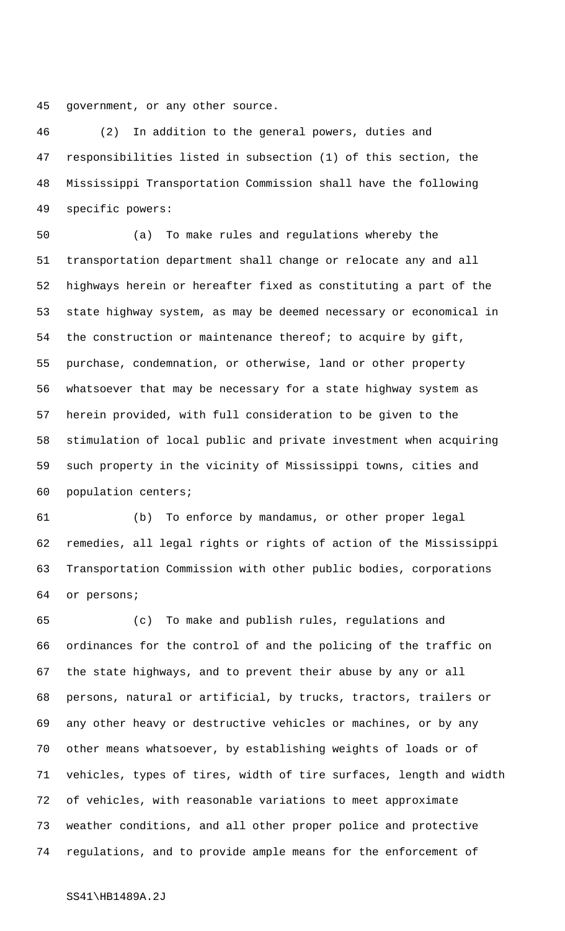government, or any other source.

 (2) In addition to the general powers, duties and responsibilities listed in subsection (1) of this section, the Mississippi Transportation Commission shall have the following specific powers:

 (a) To make rules and regulations whereby the transportation department shall change or relocate any and all highways herein or hereafter fixed as constituting a part of the state highway system, as may be deemed necessary or economical in the construction or maintenance thereof; to acquire by gift, purchase, condemnation, or otherwise, land or other property whatsoever that may be necessary for a state highway system as herein provided, with full consideration to be given to the stimulation of local public and private investment when acquiring such property in the vicinity of Mississippi towns, cities and population centers;

 (b) To enforce by mandamus, or other proper legal remedies, all legal rights or rights of action of the Mississippi Transportation Commission with other public bodies, corporations or persons;

 (c) To make and publish rules, regulations and ordinances for the control of and the policing of the traffic on the state highways, and to prevent their abuse by any or all persons, natural or artificial, by trucks, tractors, trailers or any other heavy or destructive vehicles or machines, or by any other means whatsoever, by establishing weights of loads or of vehicles, types of tires, width of tire surfaces, length and width of vehicles, with reasonable variations to meet approximate weather conditions, and all other proper police and protective regulations, and to provide ample means for the enforcement of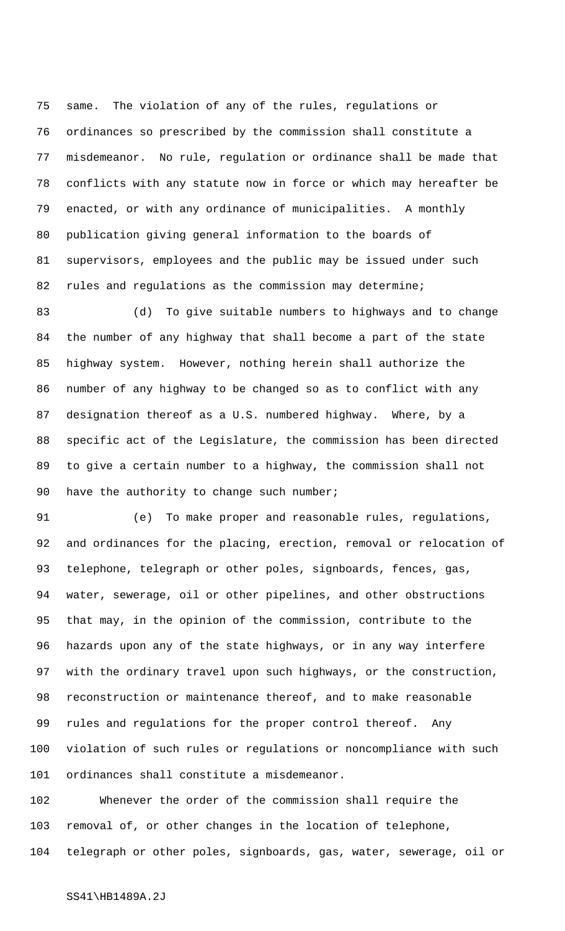same. The violation of any of the rules, regulations or ordinances so prescribed by the commission shall constitute a misdemeanor. No rule, regulation or ordinance shall be made that conflicts with any statute now in force or which may hereafter be enacted, or with any ordinance of municipalities. A monthly publication giving general information to the boards of supervisors, employees and the public may be issued under such 82 rules and regulations as the commission may determine;

 (d) To give suitable numbers to highways and to change the number of any highway that shall become a part of the state highway system. However, nothing herein shall authorize the number of any highway to be changed so as to conflict with any designation thereof as a U.S. numbered highway. Where, by a specific act of the Legislature, the commission has been directed to give a certain number to a highway, the commission shall not 90 have the authority to change such number;

 (e) To make proper and reasonable rules, regulations, and ordinances for the placing, erection, removal or relocation of telephone, telegraph or other poles, signboards, fences, gas, water, sewerage, oil or other pipelines, and other obstructions that may, in the opinion of the commission, contribute to the hazards upon any of the state highways, or in any way interfere with the ordinary travel upon such highways, or the construction, reconstruction or maintenance thereof, and to make reasonable rules and regulations for the proper control thereof. Any violation of such rules or regulations or noncompliance with such ordinances shall constitute a misdemeanor.

 Whenever the order of the commission shall require the removal of, or other changes in the location of telephone, telegraph or other poles, signboards, gas, water, sewerage, oil or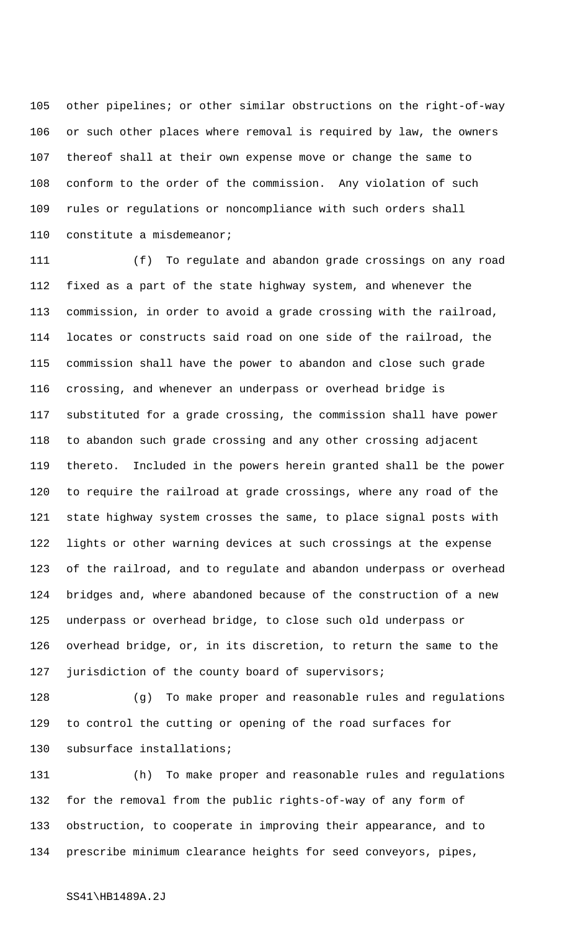other pipelines; or other similar obstructions on the right-of-way or such other places where removal is required by law, the owners thereof shall at their own expense move or change the same to conform to the order of the commission. Any violation of such rules or regulations or noncompliance with such orders shall constitute a misdemeanor;

 (f) To regulate and abandon grade crossings on any road fixed as a part of the state highway system, and whenever the commission, in order to avoid a grade crossing with the railroad, locates or constructs said road on one side of the railroad, the commission shall have the power to abandon and close such grade crossing, and whenever an underpass or overhead bridge is substituted for a grade crossing, the commission shall have power to abandon such grade crossing and any other crossing adjacent thereto. Included in the powers herein granted shall be the power to require the railroad at grade crossings, where any road of the state highway system crosses the same, to place signal posts with lights or other warning devices at such crossings at the expense of the railroad, and to regulate and abandon underpass or overhead bridges and, where abandoned because of the construction of a new underpass or overhead bridge, to close such old underpass or overhead bridge, or, in its discretion, to return the same to the jurisdiction of the county board of supervisors;

 (g) To make proper and reasonable rules and regulations to control the cutting or opening of the road surfaces for subsurface installations;

 (h) To make proper and reasonable rules and regulations for the removal from the public rights-of-way of any form of obstruction, to cooperate in improving their appearance, and to prescribe minimum clearance heights for seed conveyors, pipes,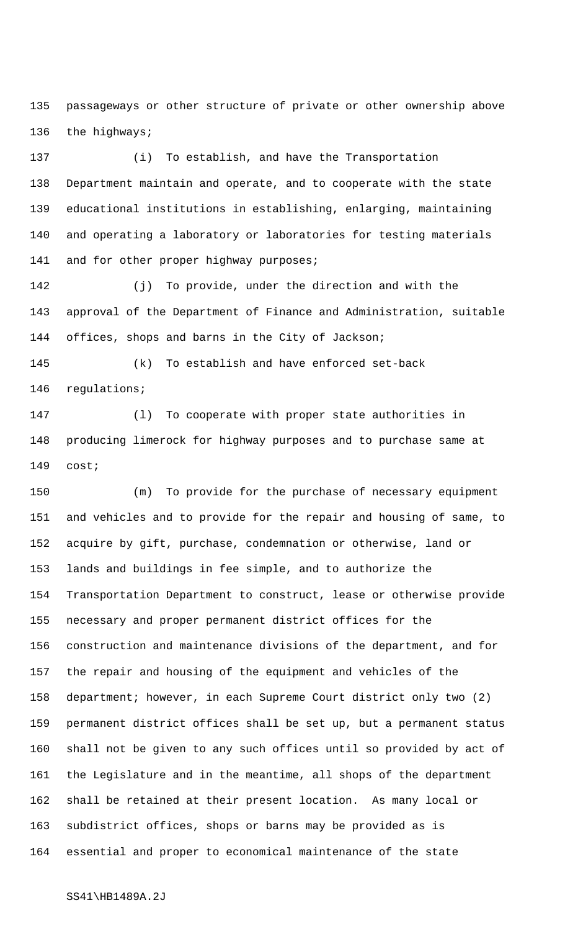passageways or other structure of private or other ownership above the highways;

 (i) To establish, and have the Transportation Department maintain and operate, and to cooperate with the state educational institutions in establishing, enlarging, maintaining and operating a laboratory or laboratories for testing materials 141 and for other proper highway purposes;

 (j) To provide, under the direction and with the approval of the Department of Finance and Administration, suitable offices, shops and barns in the City of Jackson;

 (k) To establish and have enforced set-back regulations;

 (l) To cooperate with proper state authorities in producing limerock for highway purposes and to purchase same at cost;

 (m) To provide for the purchase of necessary equipment and vehicles and to provide for the repair and housing of same, to acquire by gift, purchase, condemnation or otherwise, land or lands and buildings in fee simple, and to authorize the Transportation Department to construct, lease or otherwise provide necessary and proper permanent district offices for the construction and maintenance divisions of the department, and for the repair and housing of the equipment and vehicles of the department; however, in each Supreme Court district only two (2) permanent district offices shall be set up, but a permanent status shall not be given to any such offices until so provided by act of the Legislature and in the meantime, all shops of the department shall be retained at their present location. As many local or subdistrict offices, shops or barns may be provided as is essential and proper to economical maintenance of the state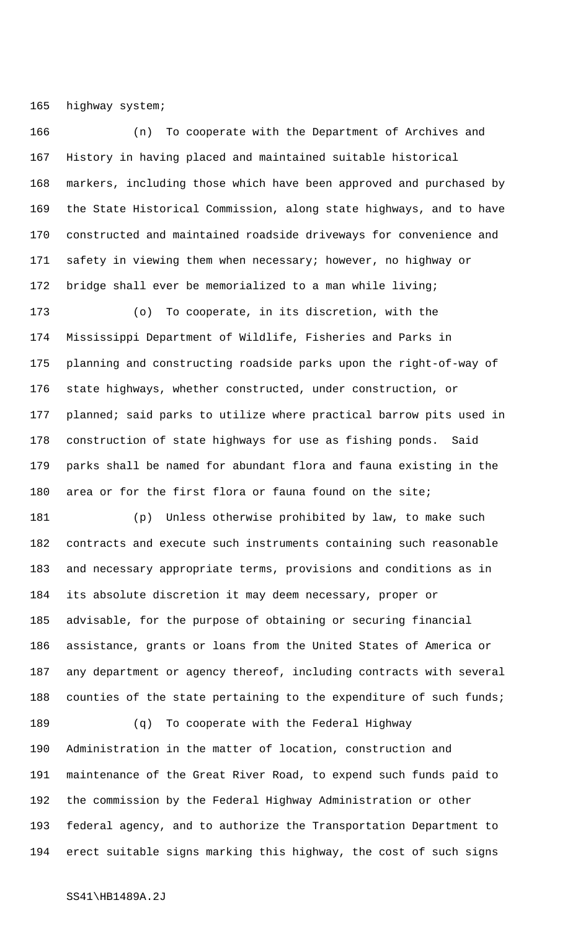highway system;

 (n) To cooperate with the Department of Archives and History in having placed and maintained suitable historical markers, including those which have been approved and purchased by the State Historical Commission, along state highways, and to have constructed and maintained roadside driveways for convenience and safety in viewing them when necessary; however, no highway or bridge shall ever be memorialized to a man while living;

 (o) To cooperate, in its discretion, with the Mississippi Department of Wildlife, Fisheries and Parks in planning and constructing roadside parks upon the right-of-way of state highways, whether constructed, under construction, or planned; said parks to utilize where practical barrow pits used in construction of state highways for use as fishing ponds. Said parks shall be named for abundant flora and fauna existing in the area or for the first flora or fauna found on the site;

 (p) Unless otherwise prohibited by law, to make such contracts and execute such instruments containing such reasonable and necessary appropriate terms, provisions and conditions as in its absolute discretion it may deem necessary, proper or advisable, for the purpose of obtaining or securing financial assistance, grants or loans from the United States of America or any department or agency thereof, including contracts with several 188 counties of the state pertaining to the expenditure of such funds;

 (q) To cooperate with the Federal Highway Administration in the matter of location, construction and maintenance of the Great River Road, to expend such funds paid to the commission by the Federal Highway Administration or other federal agency, and to authorize the Transportation Department to erect suitable signs marking this highway, the cost of such signs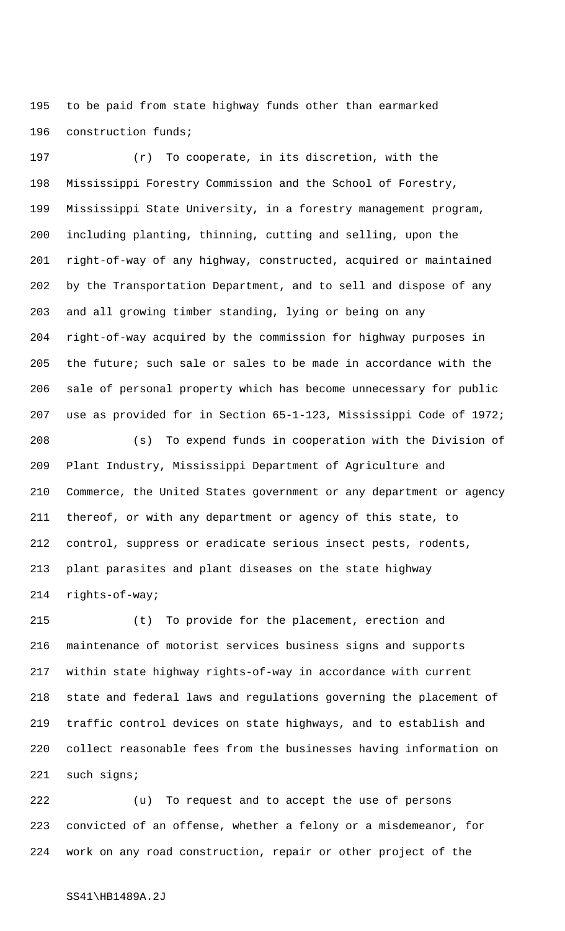to be paid from state highway funds other than earmarked construction funds;

 (r) To cooperate, in its discretion, with the Mississippi Forestry Commission and the School of Forestry, Mississippi State University, in a forestry management program, including planting, thinning, cutting and selling, upon the right-of-way of any highway, constructed, acquired or maintained by the Transportation Department, and to sell and dispose of any and all growing timber standing, lying or being on any right-of-way acquired by the commission for highway purposes in the future; such sale or sales to be made in accordance with the sale of personal property which has become unnecessary for public use as provided for in Section 65-1-123, Mississippi Code of 1972;

 (s) To expend funds in cooperation with the Division of Plant Industry, Mississippi Department of Agriculture and Commerce, the United States government or any department or agency thereof, or with any department or agency of this state, to control, suppress or eradicate serious insect pests, rodents, plant parasites and plant diseases on the state highway rights-of-way;

 (t) To provide for the placement, erection and maintenance of motorist services business signs and supports within state highway rights-of-way in accordance with current state and federal laws and regulations governing the placement of traffic control devices on state highways, and to establish and collect reasonable fees from the businesses having information on such signs;

 (u) To request and to accept the use of persons convicted of an offense, whether a felony or a misdemeanor, for work on any road construction, repair or other project of the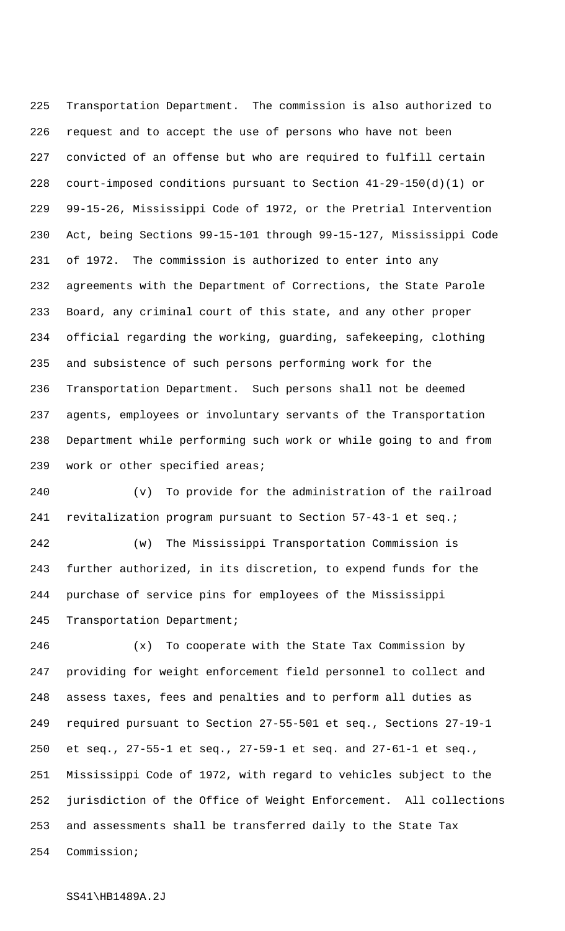Transportation Department. The commission is also authorized to request and to accept the use of persons who have not been convicted of an offense but who are required to fulfill certain court-imposed conditions pursuant to Section 41-29-150(d)(1) or 99-15-26, Mississippi Code of 1972, or the Pretrial Intervention Act, being Sections 99-15-101 through 99-15-127, Mississippi Code of 1972. The commission is authorized to enter into any agreements with the Department of Corrections, the State Parole Board, any criminal court of this state, and any other proper official regarding the working, guarding, safekeeping, clothing and subsistence of such persons performing work for the Transportation Department. Such persons shall not be deemed agents, employees or involuntary servants of the Transportation Department while performing such work or while going to and from work or other specified areas;

 (v) To provide for the administration of the railroad revitalization program pursuant to Section 57-43-1 et seq.;

 (w) The Mississippi Transportation Commission is further authorized, in its discretion, to expend funds for the purchase of service pins for employees of the Mississippi 245 Transportation Department;

 (x) To cooperate with the State Tax Commission by providing for weight enforcement field personnel to collect and assess taxes, fees and penalties and to perform all duties as required pursuant to Section 27-55-501 et seq., Sections 27-19-1 et seq., 27-55-1 et seq., 27-59-1 et seq. and 27-61-1 et seq., Mississippi Code of 1972, with regard to vehicles subject to the jurisdiction of the Office of Weight Enforcement. All collections and assessments shall be transferred daily to the State Tax Commission;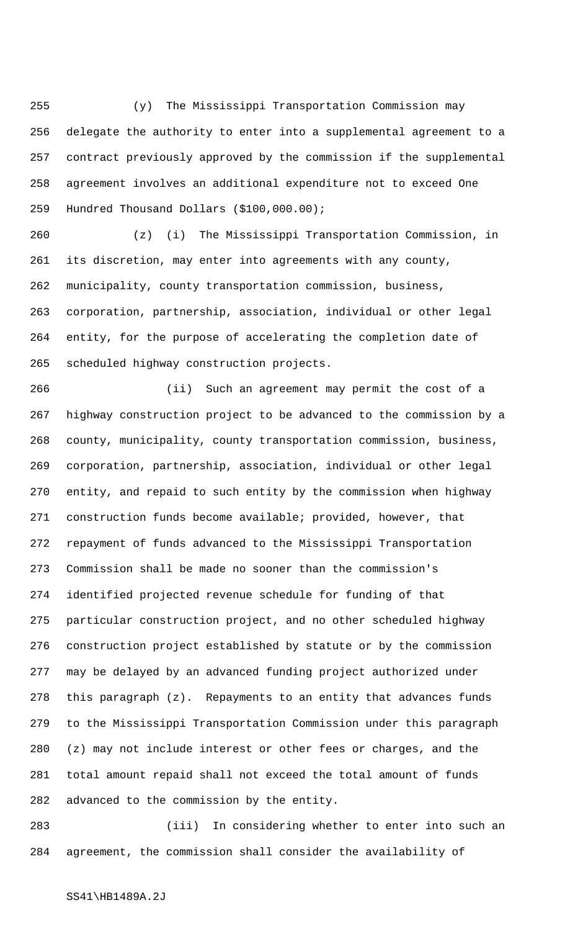(y) The Mississippi Transportation Commission may delegate the authority to enter into a supplemental agreement to a contract previously approved by the commission if the supplemental agreement involves an additional expenditure not to exceed One Hundred Thousand Dollars (\$100,000.00);

 (z) (i) The Mississippi Transportation Commission, in its discretion, may enter into agreements with any county, municipality, county transportation commission, business, corporation, partnership, association, individual or other legal entity, for the purpose of accelerating the completion date of scheduled highway construction projects.

 (ii) Such an agreement may permit the cost of a highway construction project to be advanced to the commission by a county, municipality, county transportation commission, business, corporation, partnership, association, individual or other legal entity, and repaid to such entity by the commission when highway construction funds become available; provided, however, that repayment of funds advanced to the Mississippi Transportation Commission shall be made no sooner than the commission's identified projected revenue schedule for funding of that particular construction project, and no other scheduled highway construction project established by statute or by the commission may be delayed by an advanced funding project authorized under this paragraph (z). Repayments to an entity that advances funds to the Mississippi Transportation Commission under this paragraph (z) may not include interest or other fees or charges, and the total amount repaid shall not exceed the total amount of funds advanced to the commission by the entity.

 (iii) In considering whether to enter into such an agreement, the commission shall consider the availability of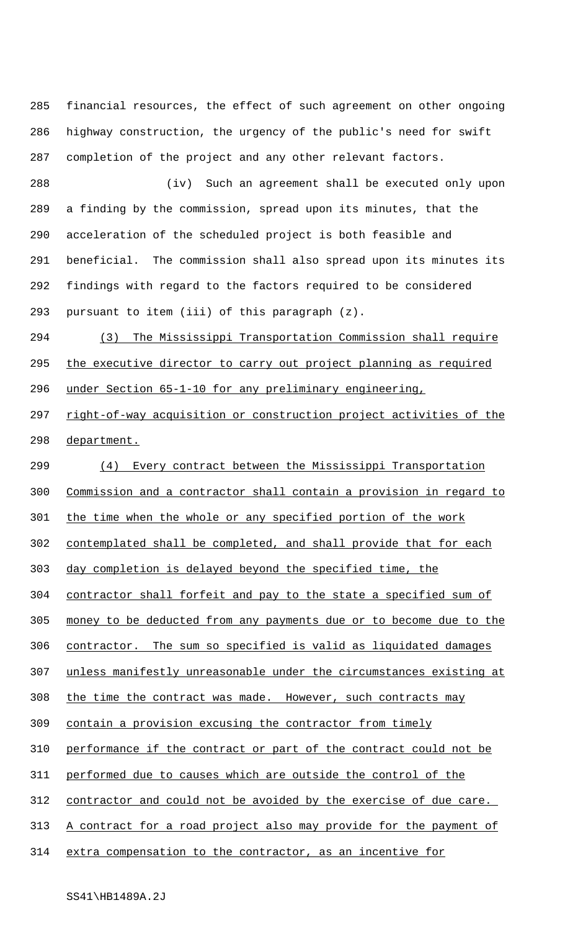financial resources, the effect of such agreement on other ongoing highway construction, the urgency of the public's need for swift completion of the project and any other relevant factors.

 (iv) Such an agreement shall be executed only upon a finding by the commission, spread upon its minutes, that the acceleration of the scheduled project is both feasible and beneficial. The commission shall also spread upon its minutes its findings with regard to the factors required to be considered pursuant to item (iii) of this paragraph (z).

 (3) The Mississippi Transportation Commission shall require 295 the executive director to carry out project planning as required under Section 65-1-10 for any preliminary engineering,

297 right-of-way acquisition or construction project activities of the department.

 (4) Every contract between the Mississippi Transportation Commission and a contractor shall contain a provision in regard to the time when the whole or any specified portion of the work contemplated shall be completed, and shall provide that for each day completion is delayed beyond the specified time, the contractor shall forfeit and pay to the state a specified sum of money to be deducted from any payments due or to become due to the contractor. The sum so specified is valid as liquidated damages unless manifestly unreasonable under the circumstances existing at 308 the time the contract was made. However, such contracts may contain a provision excusing the contractor from timely performance if the contract or part of the contract could not be performed due to causes which are outside the control of the contractor and could not be avoided by the exercise of due care. 313 A contract for a road project also may provide for the payment of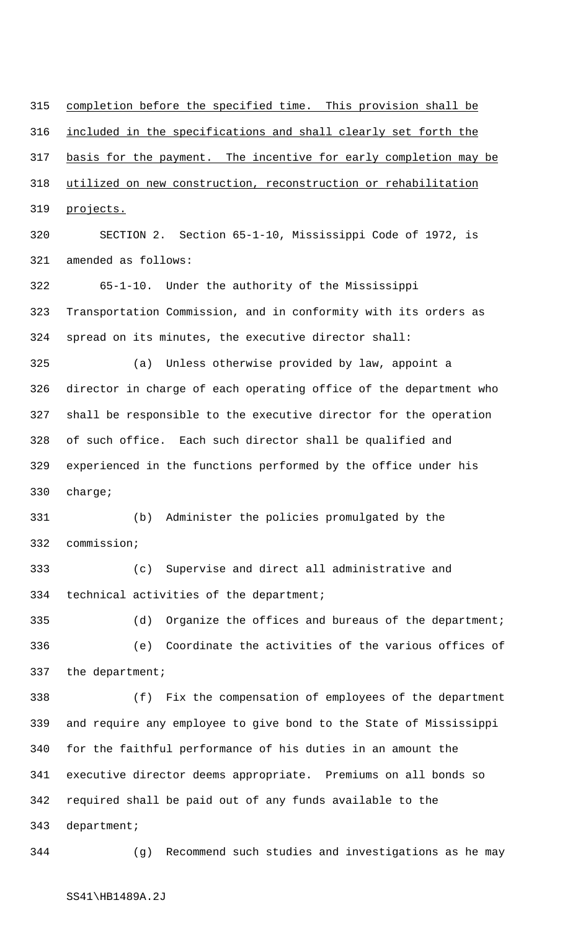completion before the specified time. This provision shall be included in the specifications and shall clearly set forth the 317 basis for the payment. The incentive for early completion may be utilized on new construction, reconstruction or rehabilitation projects.

 SECTION 2. Section 65-1-10, Mississippi Code of 1972, is amended as follows:

 65-1-10. Under the authority of the Mississippi Transportation Commission, and in conformity with its orders as spread on its minutes, the executive director shall:

 (a) Unless otherwise provided by law, appoint a director in charge of each operating office of the department who shall be responsible to the executive director for the operation of such office. Each such director shall be qualified and experienced in the functions performed by the office under his charge;

 (b) Administer the policies promulgated by the commission;

 (c) Supervise and direct all administrative and technical activities of the department;

 (d) Organize the offices and bureaus of the department; (e) Coordinate the activities of the various offices of the department;

 (f) Fix the compensation of employees of the department and require any employee to give bond to the State of Mississippi for the faithful performance of his duties in an amount the executive director deems appropriate. Premiums on all bonds so required shall be paid out of any funds available to the department;

(g) Recommend such studies and investigations as he may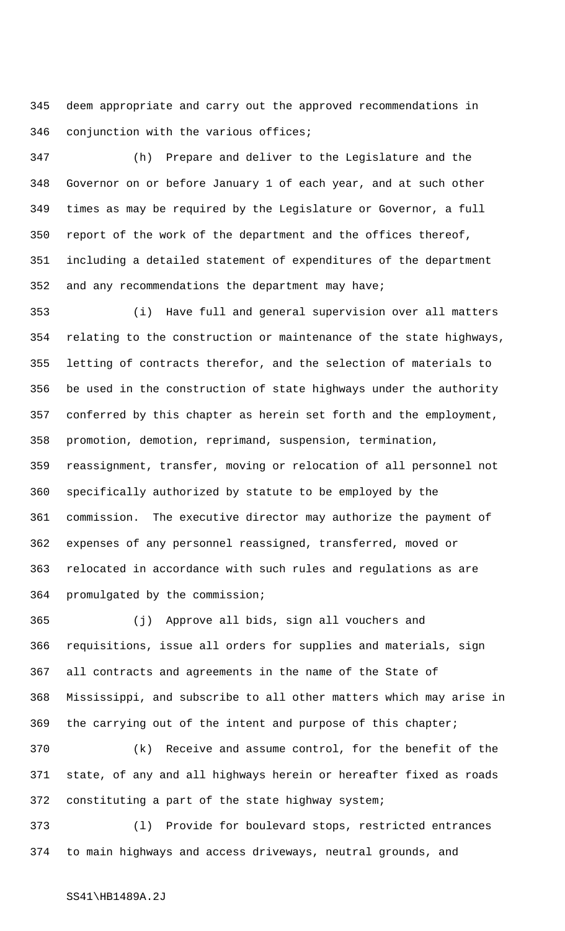deem appropriate and carry out the approved recommendations in conjunction with the various offices;

 (h) Prepare and deliver to the Legislature and the Governor on or before January 1 of each year, and at such other times as may be required by the Legislature or Governor, a full report of the work of the department and the offices thereof, including a detailed statement of expenditures of the department and any recommendations the department may have;

 (i) Have full and general supervision over all matters relating to the construction or maintenance of the state highways, letting of contracts therefor, and the selection of materials to be used in the construction of state highways under the authority conferred by this chapter as herein set forth and the employment, promotion, demotion, reprimand, suspension, termination, reassignment, transfer, moving or relocation of all personnel not specifically authorized by statute to be employed by the commission. The executive director may authorize the payment of expenses of any personnel reassigned, transferred, moved or relocated in accordance with such rules and regulations as are promulgated by the commission;

 (j) Approve all bids, sign all vouchers and requisitions, issue all orders for supplies and materials, sign all contracts and agreements in the name of the State of Mississippi, and subscribe to all other matters which may arise in the carrying out of the intent and purpose of this chapter;

 (k) Receive and assume control, for the benefit of the state, of any and all highways herein or hereafter fixed as roads constituting a part of the state highway system;

 (l) Provide for boulevard stops, restricted entrances to main highways and access driveways, neutral grounds, and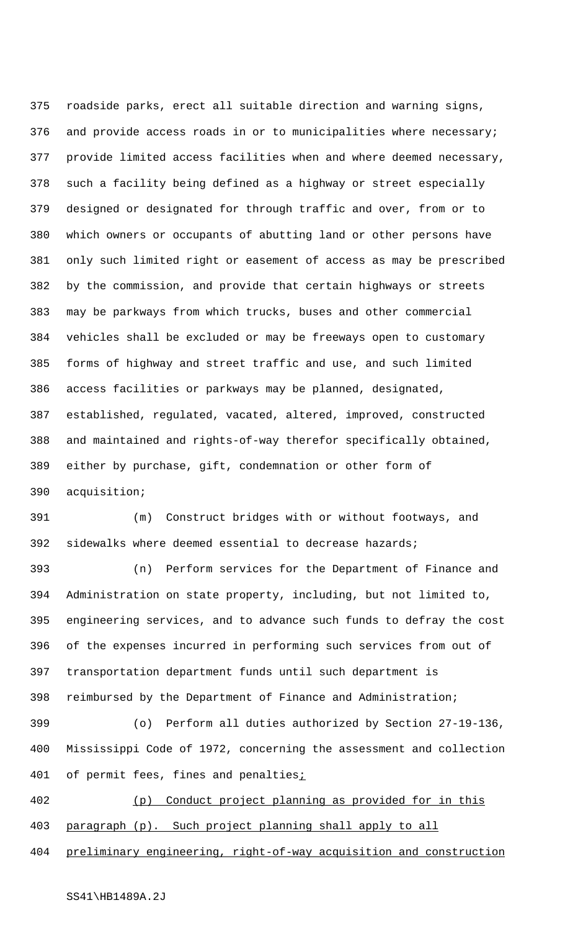roadside parks, erect all suitable direction and warning signs, and provide access roads in or to municipalities where necessary; provide limited access facilities when and where deemed necessary, such a facility being defined as a highway or street especially designed or designated for through traffic and over, from or to which owners or occupants of abutting land or other persons have only such limited right or easement of access as may be prescribed by the commission, and provide that certain highways or streets may be parkways from which trucks, buses and other commercial vehicles shall be excluded or may be freeways open to customary forms of highway and street traffic and use, and such limited access facilities or parkways may be planned, designated, established, regulated, vacated, altered, improved, constructed and maintained and rights-of-way therefor specifically obtained, either by purchase, gift, condemnation or other form of acquisition;

 (m) Construct bridges with or without footways, and sidewalks where deemed essential to decrease hazards;

 (n) Perform services for the Department of Finance and Administration on state property, including, but not limited to, engineering services, and to advance such funds to defray the cost of the expenses incurred in performing such services from out of transportation department funds until such department is reimbursed by the Department of Finance and Administration;

 (o) Perform all duties authorized by Section 27-19-136, Mississippi Code of 1972, concerning the assessment and collection 401 of permit fees, fines and penalties<sub>i</sub>

 (p) Conduct project planning as provided for in this paragraph (p). Such project planning shall apply to all

preliminary engineering, right-of-way acquisition and construction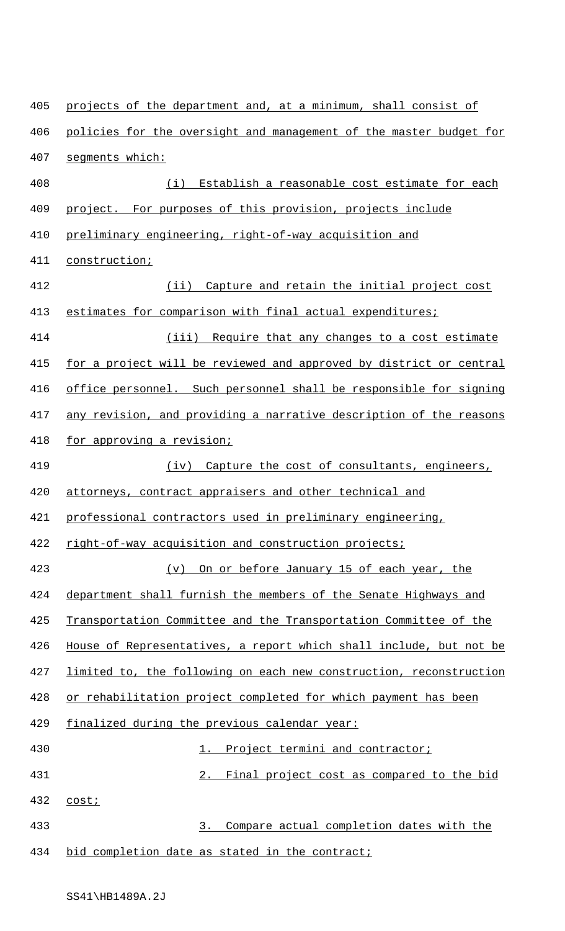405 projects of the department and, at a minimum, shall consist of 406 policies for the oversight and management of the master budget for segments which: (i) Establish a reasonable cost estimate for each 409 project. For purposes of this provision, projects include preliminary engineering, right-of-way acquisition and construction; 412 (ii) Capture and retain the initial project cost 413 estimates for comparison with final actual expenditures; 414 (iii) Require that any changes to a cost estimate 415 for a project will be reviewed and approved by district or central office personnel. Such personnel shall be responsible for signing 417 any revision, and providing a narrative description of the reasons for approving a revision; (iv) Capture the cost of consultants, engineers, attorneys, contract appraisers and other technical and professional contractors used in preliminary engineering, right-of-way acquisition and construction projects; (v) On or before January 15 of each year, the department shall furnish the members of the Senate Highways and Transportation Committee and the Transportation Committee of the House of Representatives, a report which shall include, but not be limited to, the following on each new construction, reconstruction or rehabilitation project completed for which payment has been finalized during the previous calendar year: 430 1. Project termini and contractor; 2. Final project cost as compared to the bid cost; 3. Compare actual completion dates with the 434 bid completion date as stated in the contract;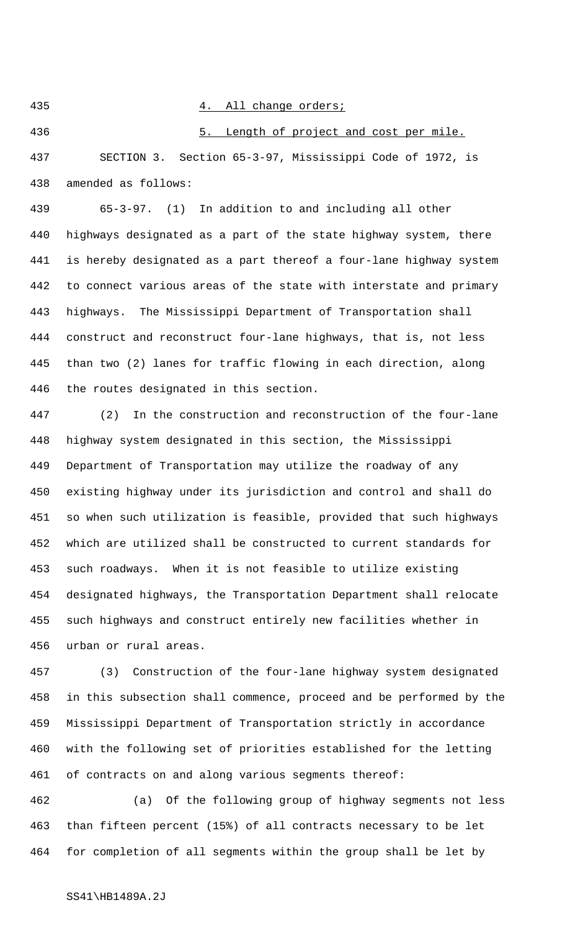## 4. All change orders;

436 5. Length of project and cost per mile. SECTION 3. Section 65-3-97, Mississippi Code of 1972, is amended as follows:

 65-3-97. (1) In addition to and including all other highways designated as a part of the state highway system, there is hereby designated as a part thereof a four-lane highway system to connect various areas of the state with interstate and primary highways. The Mississippi Department of Transportation shall construct and reconstruct four-lane highways, that is, not less than two (2) lanes for traffic flowing in each direction, along the routes designated in this section.

 (2) In the construction and reconstruction of the four-lane highway system designated in this section, the Mississippi Department of Transportation may utilize the roadway of any existing highway under its jurisdiction and control and shall do so when such utilization is feasible, provided that such highways which are utilized shall be constructed to current standards for such roadways. When it is not feasible to utilize existing designated highways, the Transportation Department shall relocate such highways and construct entirely new facilities whether in urban or rural areas.

 (3) Construction of the four-lane highway system designated in this subsection shall commence, proceed and be performed by the Mississippi Department of Transportation strictly in accordance with the following set of priorities established for the letting of contracts on and along various segments thereof:

 (a) Of the following group of highway segments not less than fifteen percent (15%) of all contracts necessary to be let for completion of all segments within the group shall be let by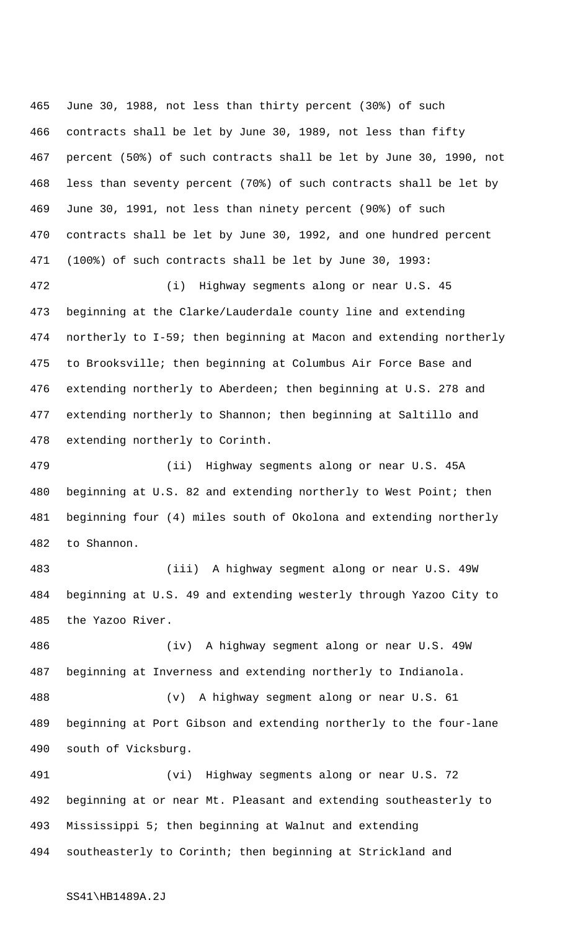June 30, 1988, not less than thirty percent (30%) of such contracts shall be let by June 30, 1989, not less than fifty percent (50%) of such contracts shall be let by June 30, 1990, not less than seventy percent (70%) of such contracts shall be let by June 30, 1991, not less than ninety percent (90%) of such contracts shall be let by June 30, 1992, and one hundred percent (100%) of such contracts shall be let by June 30, 1993:

 (i) Highway segments along or near U.S. 45 beginning at the Clarke/Lauderdale county line and extending northerly to I-59; then beginning at Macon and extending northerly to Brooksville; then beginning at Columbus Air Force Base and extending northerly to Aberdeen; then beginning at U.S. 278 and extending northerly to Shannon; then beginning at Saltillo and extending northerly to Corinth.

 (ii) Highway segments along or near U.S. 45A 480 beginning at U.S. 82 and extending northerly to West Point; then beginning four (4) miles south of Okolona and extending northerly to Shannon.

 (iii) A highway segment along or near U.S. 49W beginning at U.S. 49 and extending westerly through Yazoo City to the Yazoo River.

 (iv) A highway segment along or near U.S. 49W beginning at Inverness and extending northerly to Indianola. (v) A highway segment along or near U.S. 61 beginning at Port Gibson and extending northerly to the four-lane south of Vicksburg.

 (vi) Highway segments along or near U.S. 72 beginning at or near Mt. Pleasant and extending southeasterly to Mississippi 5; then beginning at Walnut and extending southeasterly to Corinth; then beginning at Strickland and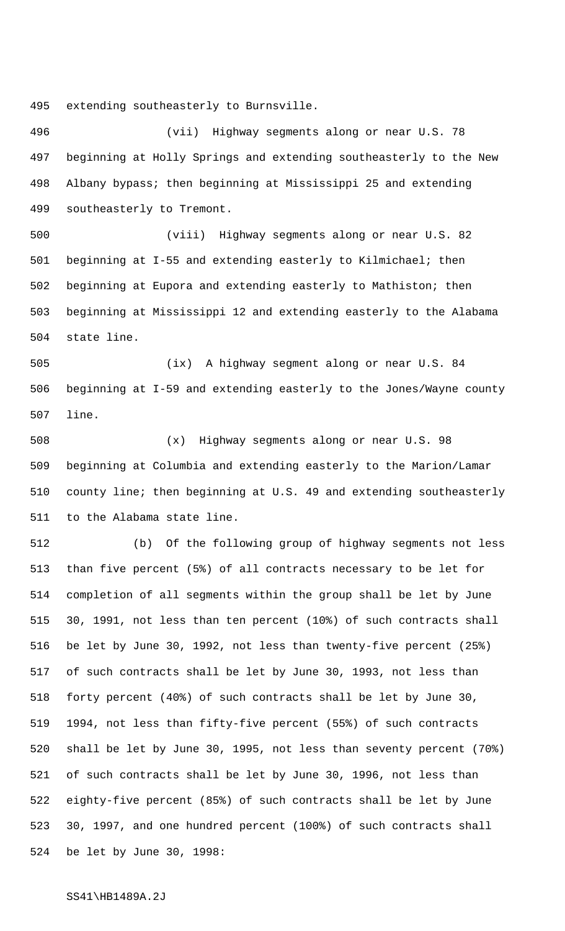extending southeasterly to Burnsville.

 (vii) Highway segments along or near U.S. 78 beginning at Holly Springs and extending southeasterly to the New Albany bypass; then beginning at Mississippi 25 and extending southeasterly to Tremont.

 (viii) Highway segments along or near U.S. 82 beginning at I-55 and extending easterly to Kilmichael; then beginning at Eupora and extending easterly to Mathiston; then beginning at Mississippi 12 and extending easterly to the Alabama state line.

 (ix) A highway segment along or near U.S. 84 beginning at I-59 and extending easterly to the Jones/Wayne county line.

 (x) Highway segments along or near U.S. 98 beginning at Columbia and extending easterly to the Marion/Lamar county line; then beginning at U.S. 49 and extending southeasterly to the Alabama state line.

 (b) Of the following group of highway segments not less than five percent (5%) of all contracts necessary to be let for completion of all segments within the group shall be let by June 30, 1991, not less than ten percent (10%) of such contracts shall be let by June 30, 1992, not less than twenty-five percent (25%) of such contracts shall be let by June 30, 1993, not less than forty percent (40%) of such contracts shall be let by June 30, 1994, not less than fifty-five percent (55%) of such contracts shall be let by June 30, 1995, not less than seventy percent (70%) of such contracts shall be let by June 30, 1996, not less than eighty-five percent (85%) of such contracts shall be let by June 30, 1997, and one hundred percent (100%) of such contracts shall be let by June 30, 1998: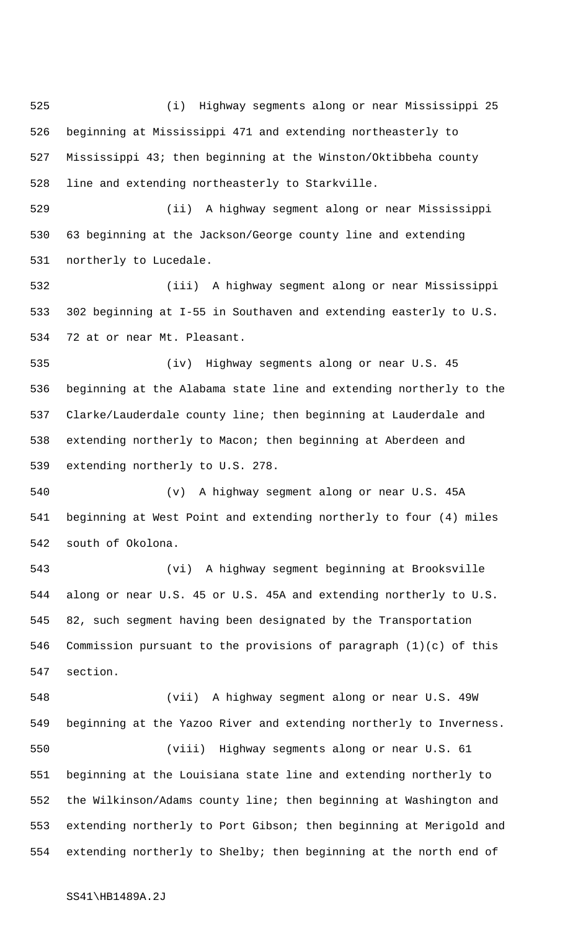(i) Highway segments along or near Mississippi 25 beginning at Mississippi 471 and extending northeasterly to Mississippi 43; then beginning at the Winston/Oktibbeha county line and extending northeasterly to Starkville.

 (ii) A highway segment along or near Mississippi 63 beginning at the Jackson/George county line and extending northerly to Lucedale.

 (iii) A highway segment along or near Mississippi 302 beginning at I-55 in Southaven and extending easterly to U.S. 72 at or near Mt. Pleasant.

 (iv) Highway segments along or near U.S. 45 beginning at the Alabama state line and extending northerly to the Clarke/Lauderdale county line; then beginning at Lauderdale and extending northerly to Macon; then beginning at Aberdeen and extending northerly to U.S. 278.

 (v) A highway segment along or near U.S. 45A beginning at West Point and extending northerly to four (4) miles south of Okolona.

 (vi) A highway segment beginning at Brooksville along or near U.S. 45 or U.S. 45A and extending northerly to U.S. 82, such segment having been designated by the Transportation Commission pursuant to the provisions of paragraph (1)(c) of this section.

 (vii) A highway segment along or near U.S. 49W beginning at the Yazoo River and extending northerly to Inverness. (viii) Highway segments along or near U.S. 61 beginning at the Louisiana state line and extending northerly to the Wilkinson/Adams county line; then beginning at Washington and extending northerly to Port Gibson; then beginning at Merigold and extending northerly to Shelby; then beginning at the north end of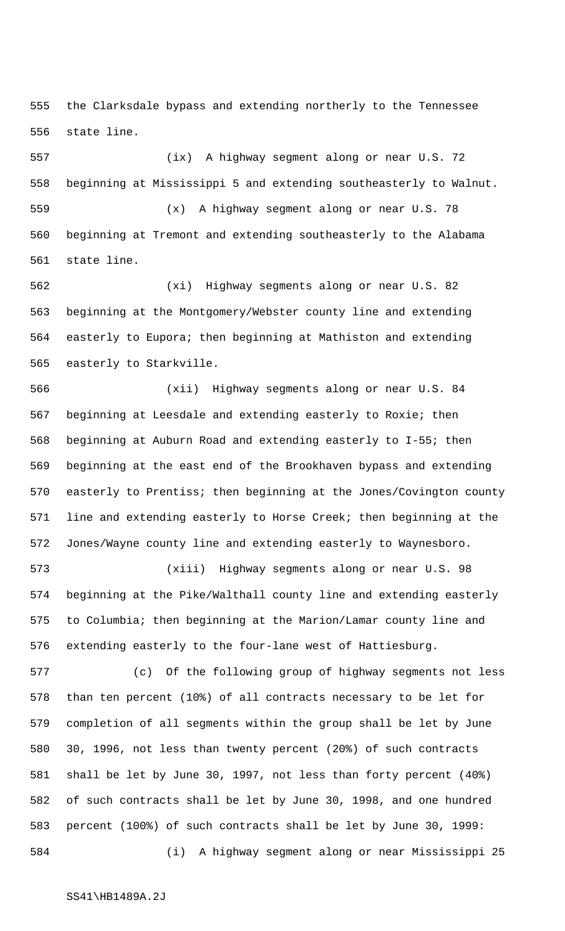the Clarksdale bypass and extending northerly to the Tennessee state line.

 (ix) A highway segment along or near U.S. 72 beginning at Mississippi 5 and extending southeasterly to Walnut. (x) A highway segment along or near U.S. 78 beginning at Tremont and extending southeasterly to the Alabama state line.

 (xi) Highway segments along or near U.S. 82 beginning at the Montgomery/Webster county line and extending easterly to Eupora; then beginning at Mathiston and extending easterly to Starkville.

 (xii) Highway segments along or near U.S. 84 beginning at Leesdale and extending easterly to Roxie; then beginning at Auburn Road and extending easterly to I-55; then beginning at the east end of the Brookhaven bypass and extending easterly to Prentiss; then beginning at the Jones/Covington county line and extending easterly to Horse Creek; then beginning at the Jones/Wayne county line and extending easterly to Waynesboro.

 (xiii) Highway segments along or near U.S. 98 beginning at the Pike/Walthall county line and extending easterly to Columbia; then beginning at the Marion/Lamar county line and extending easterly to the four-lane west of Hattiesburg.

 (c) Of the following group of highway segments not less than ten percent (10%) of all contracts necessary to be let for completion of all segments within the group shall be let by June 30, 1996, not less than twenty percent (20%) of such contracts shall be let by June 30, 1997, not less than forty percent (40%) of such contracts shall be let by June 30, 1998, and one hundred percent (100%) of such contracts shall be let by June 30, 1999: (i) A highway segment along or near Mississippi 25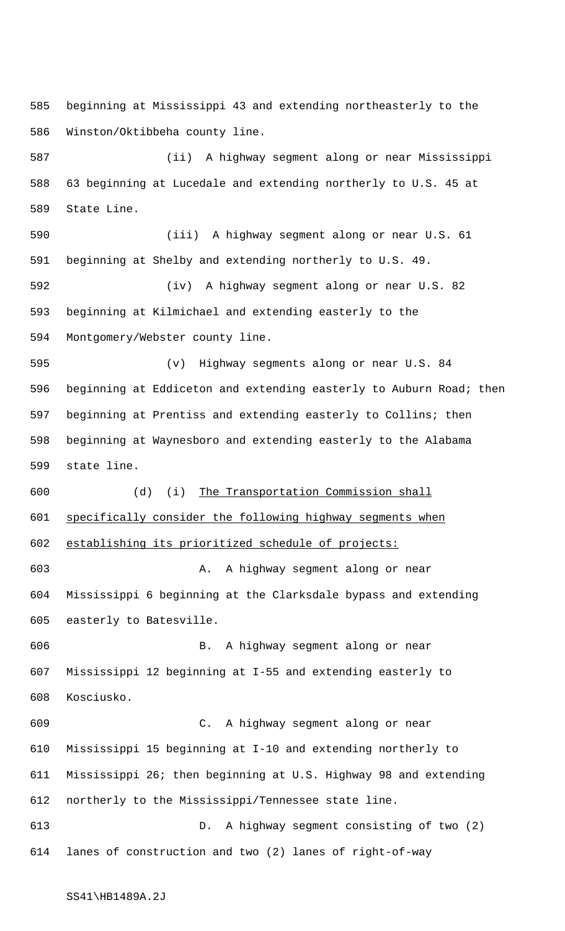beginning at Mississippi 43 and extending northeasterly to the Winston/Oktibbeha county line.

 (ii) A highway segment along or near Mississippi 63 beginning at Lucedale and extending northerly to U.S. 45 at State Line.

 (iii) A highway segment along or near U.S. 61 beginning at Shelby and extending northerly to U.S. 49. (iv) A highway segment along or near U.S. 82 beginning at Kilmichael and extending easterly to the Montgomery/Webster county line. (v) Highway segments along or near U.S. 84

 beginning at Eddiceton and extending easterly to Auburn Road; then beginning at Prentiss and extending easterly to Collins; then beginning at Waynesboro and extending easterly to the Alabama state line.

 (d) (i) The Transportation Commission shall specifically consider the following highway segments when establishing its prioritized schedule of projects:

 A. A highway segment along or near Mississippi 6 beginning at the Clarksdale bypass and extending easterly to Batesville.

 B. A highway segment along or near Mississippi 12 beginning at I-55 and extending easterly to Kosciusko.

 C. A highway segment along or near Mississippi 15 beginning at I-10 and extending northerly to Mississippi 26; then beginning at U.S. Highway 98 and extending northerly to the Mississippi/Tennessee state line.

 D. A highway segment consisting of two (2) lanes of construction and two (2) lanes of right-of-way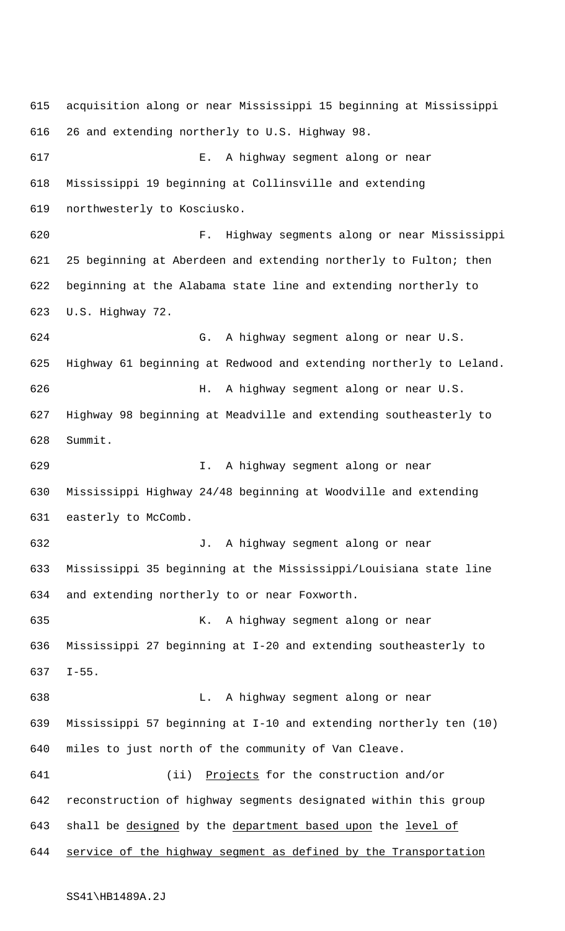acquisition along or near Mississippi 15 beginning at Mississippi 26 and extending northerly to U.S. Highway 98. E. A highway segment along or near Mississippi 19 beginning at Collinsville and extending northwesterly to Kosciusko. F. Highway segments along or near Mississippi 25 beginning at Aberdeen and extending northerly to Fulton; then beginning at the Alabama state line and extending northerly to U.S. Highway 72. G. A highway segment along or near U.S. Highway 61 beginning at Redwood and extending northerly to Leland. H. A highway segment along or near U.S. Highway 98 beginning at Meadville and extending southeasterly to Summit. I. A highway segment along or near Mississippi Highway 24/48 beginning at Woodville and extending easterly to McComb. J. A highway segment along or near Mississippi 35 beginning at the Mississippi/Louisiana state line and extending northerly to or near Foxworth. K. A highway segment along or near Mississippi 27 beginning at I-20 and extending southeasterly to I-55. L. A highway segment along or near Mississippi 57 beginning at I-10 and extending northerly ten (10) miles to just north of the community of Van Cleave. 641 (ii) Projects for the construction and/or reconstruction of highway segments designated within this group 643 shall be designed by the department based upon the level of 644 service of the highway segment as defined by the Transportation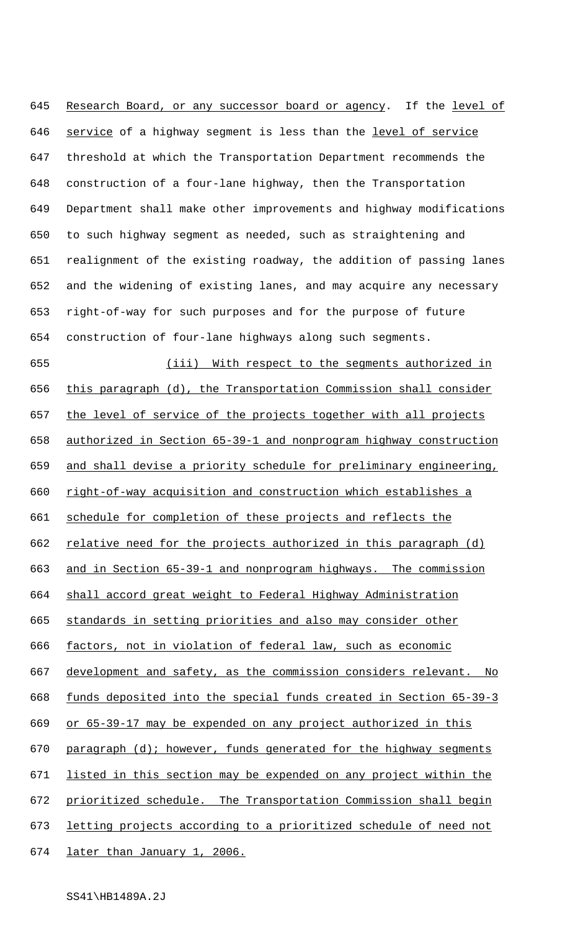645 Research Board, or any successor board or agency. If the level of 646 service of a highway segment is less than the level of service threshold at which the Transportation Department recommends the construction of a four-lane highway, then the Transportation Department shall make other improvements and highway modifications to such highway segment as needed, such as straightening and realignment of the existing roadway, the addition of passing lanes and the widening of existing lanes, and may acquire any necessary right-of-way for such purposes and for the purpose of future construction of four-lane highways along such segments.

 (iii) With respect to the segments authorized in this paragraph (d), the Transportation Commission shall consider 657 the level of service of the projects together with all projects authorized in Section 65-39-1 and nonprogram highway construction and shall devise a priority schedule for preliminary engineering, right-of-way acquisition and construction which establishes a schedule for completion of these projects and reflects the 662 relative need for the projects authorized in this paragraph (d) and in Section 65-39-1 and nonprogram highways. The commission shall accord great weight to Federal Highway Administration standards in setting priorities and also may consider other 666 factors, not in violation of federal law, such as economic development and safety, as the commission considers relevant. No funds deposited into the special funds created in Section 65-39-3 or 65-39-17 may be expended on any project authorized in this 670 paragraph (d); however, funds generated for the highway segments listed in this section may be expended on any project within the prioritized schedule. The Transportation Commission shall begin letting projects according to a prioritized schedule of need not 674 later than January 1, 2006.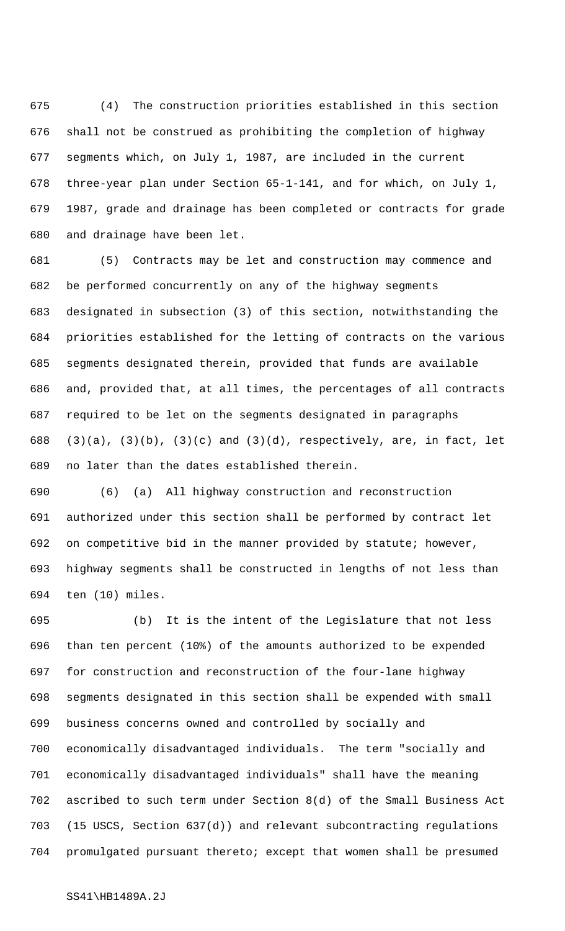(4) The construction priorities established in this section shall not be construed as prohibiting the completion of highway segments which, on July 1, 1987, are included in the current three-year plan under Section 65-1-141, and for which, on July 1, 1987, grade and drainage has been completed or contracts for grade and drainage have been let.

 (5) Contracts may be let and construction may commence and be performed concurrently on any of the highway segments designated in subsection (3) of this section, notwithstanding the priorities established for the letting of contracts on the various segments designated therein, provided that funds are available and, provided that, at all times, the percentages of all contracts required to be let on the segments designated in paragraphs 688 (3)(a), (3)(b), (3)(c) and (3)(d), respectively, are, in fact, let no later than the dates established therein.

 (6) (a) All highway construction and reconstruction authorized under this section shall be performed by contract let on competitive bid in the manner provided by statute; however, highway segments shall be constructed in lengths of not less than ten (10) miles.

 (b) It is the intent of the Legislature that not less than ten percent (10%) of the amounts authorized to be expended for construction and reconstruction of the four-lane highway segments designated in this section shall be expended with small business concerns owned and controlled by socially and economically disadvantaged individuals. The term "socially and economically disadvantaged individuals" shall have the meaning ascribed to such term under Section 8(d) of the Small Business Act (15 USCS, Section 637(d)) and relevant subcontracting regulations promulgated pursuant thereto; except that women shall be presumed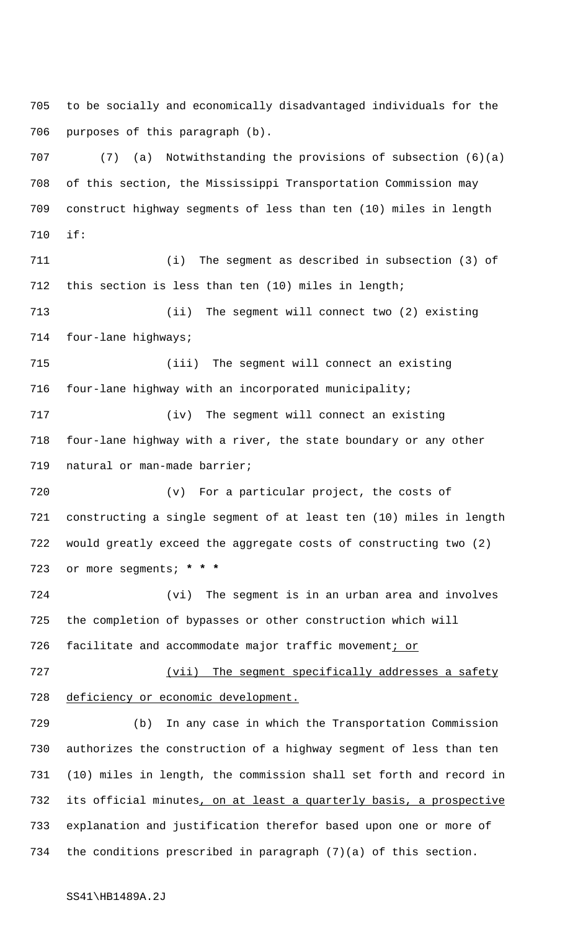to be socially and economically disadvantaged individuals for the purposes of this paragraph (b).

 (7) (a) Notwithstanding the provisions of subsection (6)(a) of this section, the Mississippi Transportation Commission may construct highway segments of less than ten (10) miles in length if:

 (i) The segment as described in subsection (3) of this section is less than ten (10) miles in length; (ii) The segment will connect two (2) existing 714 four-lane highways; (iii) The segment will connect an existing four-lane highway with an incorporated municipality; (iv) The segment will connect an existing

 four-lane highway with a river, the state boundary or any other 719 natural or man-made barrier;

 (v) For a particular project, the costs of constructing a single segment of at least ten (10) miles in length would greatly exceed the aggregate costs of constructing two (2) or more segments; **\* \* \***

 (vi) The segment is in an urban area and involves the completion of bypasses or other construction which will 726 facilitate and accommodate major traffic movement; or

727 (vii) The segment specifically addresses a safety deficiency or economic development.

 (b) In any case in which the Transportation Commission authorizes the construction of a highway segment of less than ten (10) miles in length, the commission shall set forth and record in 732 its official minutes, on at least a quarterly basis, a prospective explanation and justification therefor based upon one or more of the conditions prescribed in paragraph (7)(a) of this section.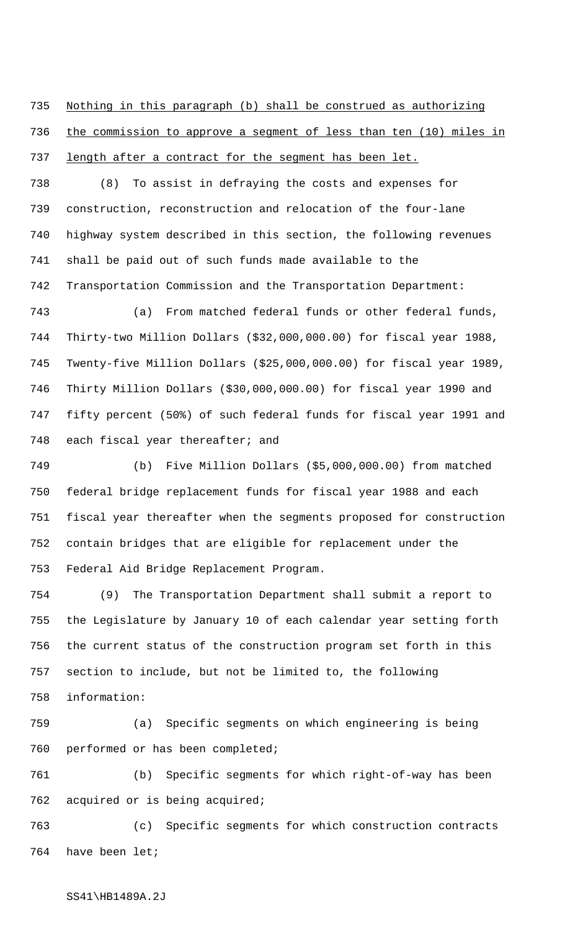Nothing in this paragraph (b) shall be construed as authorizing the commission to approve a segment of less than ten (10) miles in 737 length after a contract for the segment has been let.

 (8) To assist in defraying the costs and expenses for construction, reconstruction and relocation of the four-lane highway system described in this section, the following revenues shall be paid out of such funds made available to the Transportation Commission and the Transportation Department:

 (a) From matched federal funds or other federal funds, Thirty-two Million Dollars (\$32,000,000.00) for fiscal year 1988, Twenty-five Million Dollars (\$25,000,000.00) for fiscal year 1989, Thirty Million Dollars (\$30,000,000.00) for fiscal year 1990 and fifty percent (50%) of such federal funds for fiscal year 1991 and 748 each fiscal year thereafter; and

 (b) Five Million Dollars (\$5,000,000.00) from matched federal bridge replacement funds for fiscal year 1988 and each fiscal year thereafter when the segments proposed for construction contain bridges that are eligible for replacement under the Federal Aid Bridge Replacement Program.

 (9) The Transportation Department shall submit a report to the Legislature by January 10 of each calendar year setting forth the current status of the construction program set forth in this section to include, but not be limited to, the following information:

 (a) Specific segments on which engineering is being performed or has been completed;

 (b) Specific segments for which right-of-way has been acquired or is being acquired;

 (c) Specific segments for which construction contracts have been let;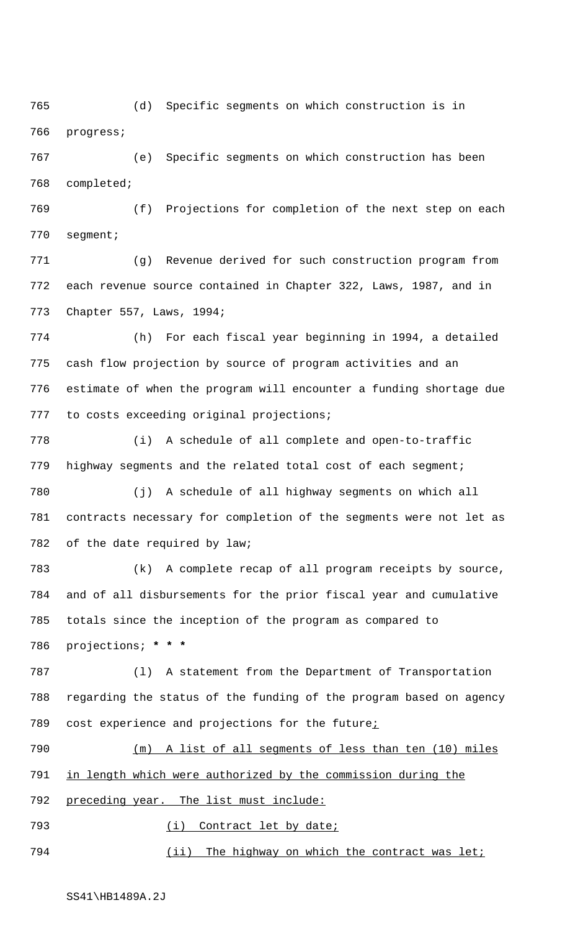(d) Specific segments on which construction is in progress;

 (e) Specific segments on which construction has been completed;

 (f) Projections for completion of the next step on each segment;

 (g) Revenue derived for such construction program from each revenue source contained in Chapter 322, Laws, 1987, and in Chapter 557, Laws, 1994;

 (h) For each fiscal year beginning in 1994, a detailed cash flow projection by source of program activities and an estimate of when the program will encounter a funding shortage due to costs exceeding original projections;

 (i) A schedule of all complete and open-to-traffic highway segments and the related total cost of each segment;

 (j) A schedule of all highway segments on which all contracts necessary for completion of the segments were not let as of the date required by law;

 (k) A complete recap of all program receipts by source, and of all disbursements for the prior fiscal year and cumulative totals since the inception of the program as compared to projections; **\* \* \***

 (l) A statement from the Department of Transportation regarding the status of the funding of the program based on agency cost experience and projections for the future;

 (m) A list of all segments of less than ten (10) miles in length which were authorized by the commission during the

792 preceding year. The list must include:

793 (i) Contract let by date;

794 (ii) The highway on which the contract was let;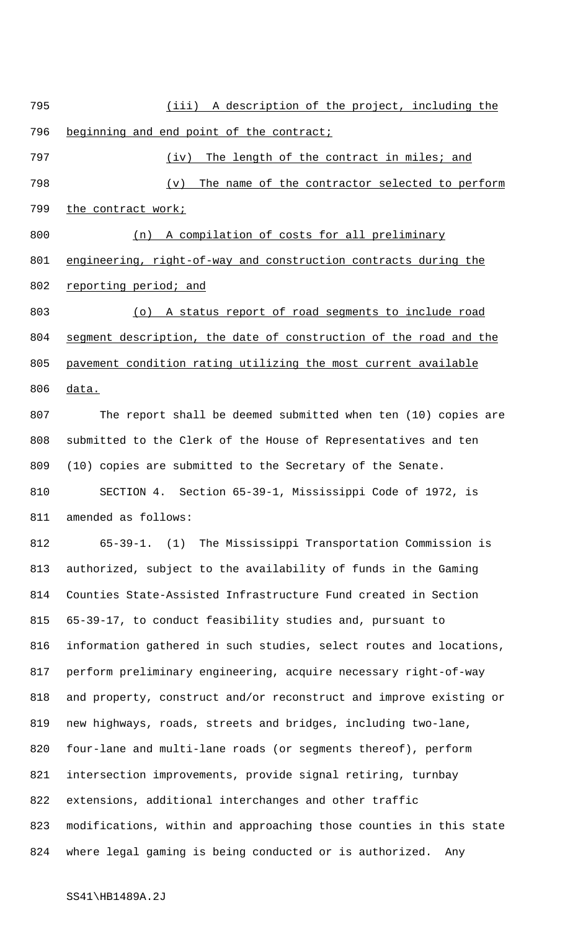(iii) A description of the project, including the 796 beginning and end point of the contract; 797 (iv) The length of the contract in miles; and (v) The name of the contractor selected to perform 799 the contract work; (n) A compilation of costs for all preliminary engineering, right-of-way and construction contracts during the 802 reporting period; and (o) A status report of road segments to include road 804 segment description, the date of construction of the road and the pavement condition rating utilizing the most current available data. The report shall be deemed submitted when ten (10) copies are submitted to the Clerk of the House of Representatives and ten (10) copies are submitted to the Secretary of the Senate. SECTION 4. Section 65-39-1, Mississippi Code of 1972, is amended as follows: 65-39-1. (1) The Mississippi Transportation Commission is authorized, subject to the availability of funds in the Gaming Counties State-Assisted Infrastructure Fund created in Section 65-39-17, to conduct feasibility studies and, pursuant to information gathered in such studies, select routes and locations, perform preliminary engineering, acquire necessary right-of-way and property, construct and/or reconstruct and improve existing or new highways, roads, streets and bridges, including two-lane, four-lane and multi-lane roads (or segments thereof), perform intersection improvements, provide signal retiring, turnbay extensions, additional interchanges and other traffic modifications, within and approaching those counties in this state where legal gaming is being conducted or is authorized. Any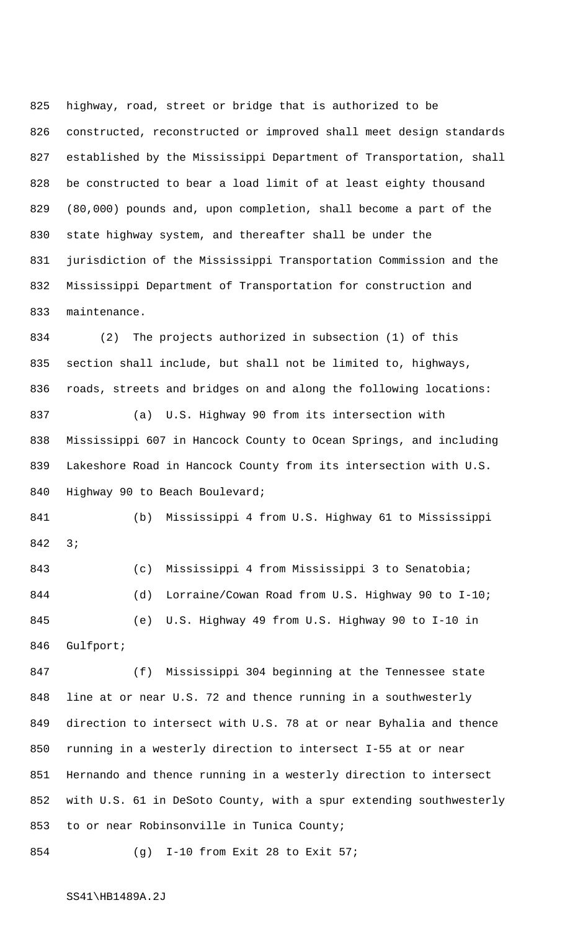highway, road, street or bridge that is authorized to be constructed, reconstructed or improved shall meet design standards established by the Mississippi Department of Transportation, shall be constructed to bear a load limit of at least eighty thousand (80,000) pounds and, upon completion, shall become a part of the state highway system, and thereafter shall be under the jurisdiction of the Mississippi Transportation Commission and the Mississippi Department of Transportation for construction and maintenance.

 (2) The projects authorized in subsection (1) of this section shall include, but shall not be limited to, highways, roads, streets and bridges on and along the following locations: (a) U.S. Highway 90 from its intersection with Mississippi 607 in Hancock County to Ocean Springs, and including Lakeshore Road in Hancock County from its intersection with U.S. Highway 90 to Beach Boulevard;

 (b) Mississippi 4 from U.S. Highway 61 to Mississippi 3;

 (c) Mississippi 4 from Mississippi 3 to Senatobia; 844 (d) Lorraine/Cowan Road from U.S. Highway 90 to I-10; (e) U.S. Highway 49 from U.S. Highway 90 to I-10 in Gulfport;

 (f) Mississippi 304 beginning at the Tennessee state line at or near U.S. 72 and thence running in a southwesterly direction to intersect with U.S. 78 at or near Byhalia and thence running in a westerly direction to intersect I-55 at or near Hernando and thence running in a westerly direction to intersect with U.S. 61 in DeSoto County, with a spur extending southwesterly to or near Robinsonville in Tunica County;

(g) I-10 from Exit 28 to Exit 57;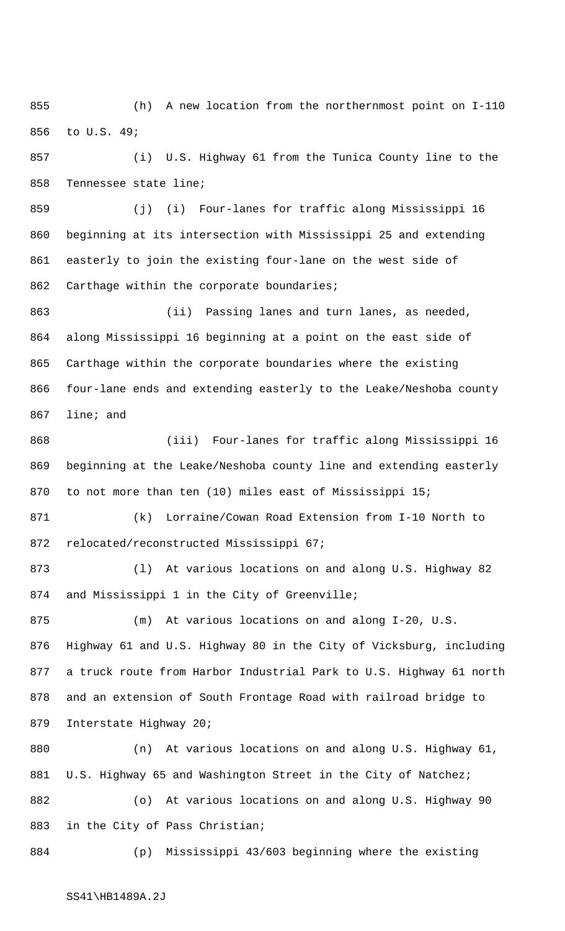(h) A new location from the northernmost point on I-110 to U.S. 49;

 (i) U.S. Highway 61 from the Tunica County line to the Tennessee state line;

 (j) (i) Four-lanes for traffic along Mississippi 16 beginning at its intersection with Mississippi 25 and extending easterly to join the existing four-lane on the west side of 862 Carthage within the corporate boundaries;

 (ii) Passing lanes and turn lanes, as needed, along Mississippi 16 beginning at a point on the east side of Carthage within the corporate boundaries where the existing four-lane ends and extending easterly to the Leake/Neshoba county line; and

 (iii) Four-lanes for traffic along Mississippi 16 beginning at the Leake/Neshoba county line and extending easterly 870 to not more than ten (10) miles east of Mississippi 15;

 (k) Lorraine/Cowan Road Extension from I-10 North to relocated/reconstructed Mississippi 67;

 (l) At various locations on and along U.S. Highway 82 and Mississippi 1 in the City of Greenville;

 (m) At various locations on and along I-20, U.S. Highway 61 and U.S. Highway 80 in the City of Vicksburg, including a truck route from Harbor Industrial Park to U.S. Highway 61 north and an extension of South Frontage Road with railroad bridge to Interstate Highway 20;

 (n) At various locations on and along U.S. Highway 61, 881 U.S. Highway 65 and Washington Street in the City of Natchez; (o) At various locations on and along U.S. Highway 90 in the City of Pass Christian;

(p) Mississippi 43/603 beginning where the existing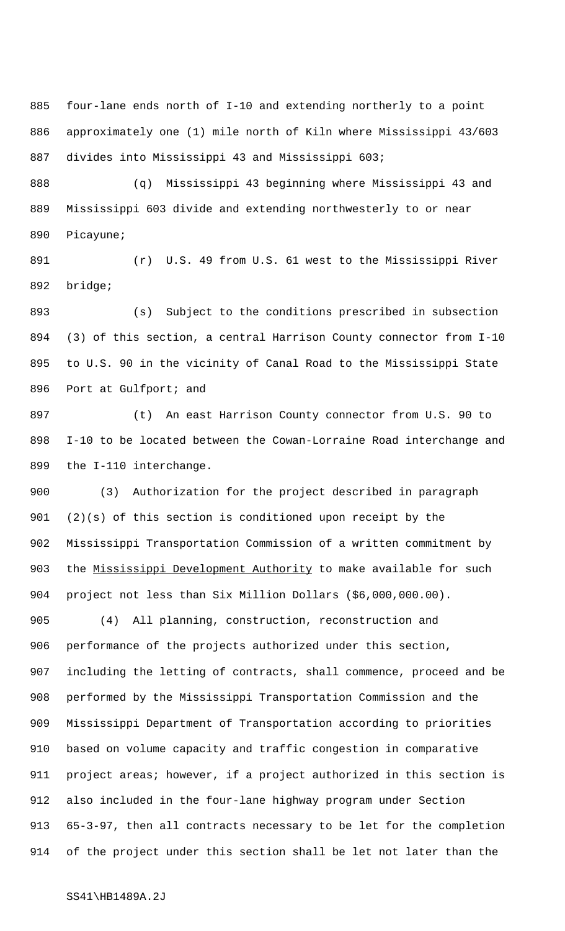four-lane ends north of I-10 and extending northerly to a point approximately one (1) mile north of Kiln where Mississippi 43/603 divides into Mississippi 43 and Mississippi 603;

 (q) Mississippi 43 beginning where Mississippi 43 and Mississippi 603 divide and extending northwesterly to or near Picayune;

 (r) U.S. 49 from U.S. 61 west to the Mississippi River bridge;

 (s) Subject to the conditions prescribed in subsection (3) of this section, a central Harrison County connector from I-10 to U.S. 90 in the vicinity of Canal Road to the Mississippi State Port at Gulfport; and

 (t) An east Harrison County connector from U.S. 90 to I-10 to be located between the Cowan-Lorraine Road interchange and the I-110 interchange.

 (3) Authorization for the project described in paragraph (2)(s) of this section is conditioned upon receipt by the Mississippi Transportation Commission of a written commitment by 903 the Mississippi Development Authority to make available for such project not less than Six Million Dollars (\$6,000,000.00).

 (4) All planning, construction, reconstruction and performance of the projects authorized under this section, including the letting of contracts, shall commence, proceed and be performed by the Mississippi Transportation Commission and the Mississippi Department of Transportation according to priorities based on volume capacity and traffic congestion in comparative project areas; however, if a project authorized in this section is also included in the four-lane highway program under Section 65-3-97, then all contracts necessary to be let for the completion of the project under this section shall be let not later than the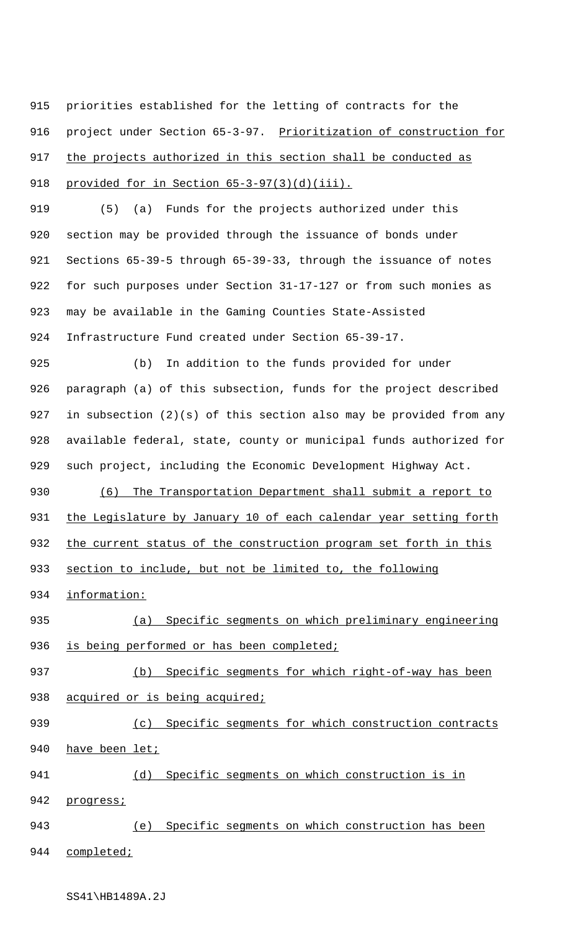915 priorities established for the letting of contracts for the 916 project under Section 65-3-97. Prioritization of construction for 917 the projects authorized in this section shall be conducted as 918 provided for in Section 65-3-97(3)(d)(iii).

 (5) (a) Funds for the projects authorized under this section may be provided through the issuance of bonds under Sections 65-39-5 through 65-39-33, through the issuance of notes for such purposes under Section 31-17-127 or from such monies as may be available in the Gaming Counties State-Assisted Infrastructure Fund created under Section 65-39-17.

 (b) In addition to the funds provided for under paragraph (a) of this subsection, funds for the project described in subsection (2)(s) of this section also may be provided from any available federal, state, county or municipal funds authorized for such project, including the Economic Development Highway Act.

930 (6) The Transportation Department shall submit a report to 931 the Legislature by January 10 of each calendar year setting forth 932 the current status of the construction program set forth in this

933 section to include, but not be limited to, the following

934 information:

935 (a) Specific segments on which preliminary engineering 936 is being performed or has been completed;

937 (b) Specific segments for which right-of-way has been 938 acquired or is being acquired;

939 (c) Specific segments for which construction contracts

940 have been let;

941 (d) Specific segments on which construction is in

942 progress;

943 (e) Specific segments on which construction has been

944 completed;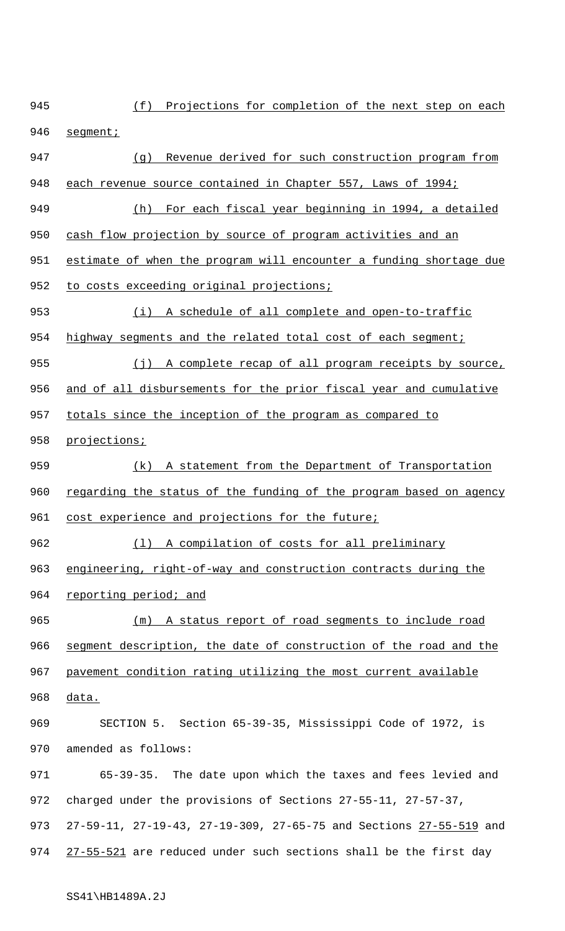945 (f) Projections for completion of the next step on each 946 segment; 947 (g) Revenue derived for such construction program from 948 each revenue source contained in Chapter 557, Laws of 1994; 949 (h) For each fiscal year beginning in 1994, a detailed 950 cash flow projection by source of program activities and an 951 estimate of when the program will encounter a funding shortage due 952 to costs exceeding original projections; 953 (i) A schedule of all complete and open-to-traffic 954 highway segments and the related total cost of each segment; 955 (j) A complete recap of all program receipts by source, 956 and of all disbursements for the prior fiscal year and cumulative 957 totals since the inception of the program as compared to 958 projections; 959 (k) A statement from the Department of Transportation 960 regarding the status of the funding of the program based on agency 961 cost experience and projections for the future; 962 (l) A compilation of costs for all preliminary 963 engineering, right-of-way and construction contracts during the 964 reporting period; and 965 (m) A status report of road segments to include road 966 segment description, the date of construction of the road and the 967 pavement condition rating utilizing the most current available 968 data. 969 SECTION 5. Section 65-39-35, Mississippi Code of 1972, is 970 amended as follows: 971 65-39-35. The date upon which the taxes and fees levied and 972 charged under the provisions of Sections 27-55-11, 27-57-37, 973 27-59-11, 27-19-43, 27-19-309, 27-65-75 and Sections 27-55-519 and 974 27-55-521 are reduced under such sections shall be the first day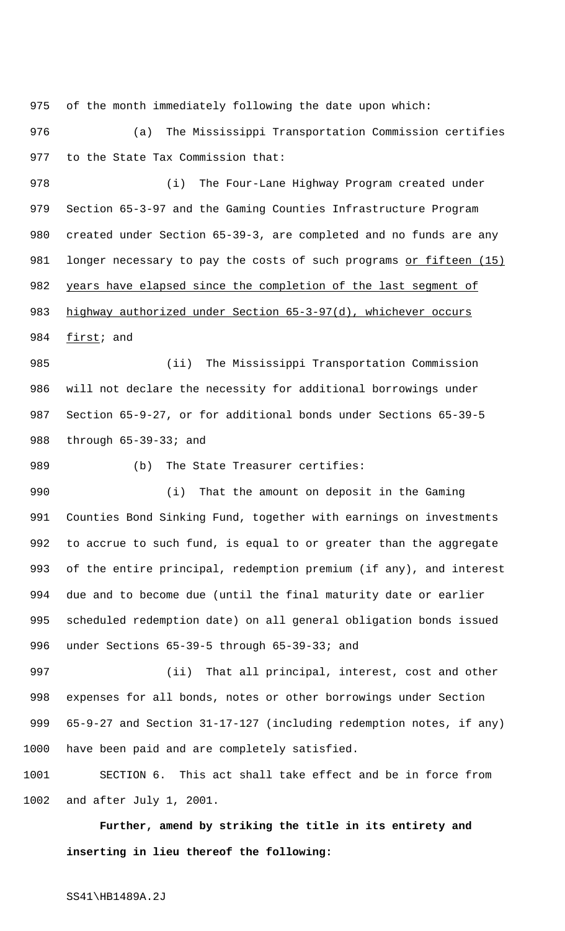of the month immediately following the date upon which:

 (a) The Mississippi Transportation Commission certifies to the State Tax Commission that:

 (i) The Four-Lane Highway Program created under Section 65-3-97 and the Gaming Counties Infrastructure Program created under Section 65-39-3, are completed and no funds are any 981 longer necessary to pay the costs of such programs or fifteen (15) 982 years have elapsed since the completion of the last segment of 983 highway authorized under Section 65-3-97(d), whichever occurs **first**; and

 (ii) The Mississippi Transportation Commission will not declare the necessity for additional borrowings under Section 65-9-27, or for additional bonds under Sections 65-39-5 through 65-39-33; and

989 (b) The State Treasurer certifies:

 (i) That the amount on deposit in the Gaming Counties Bond Sinking Fund, together with earnings on investments to accrue to such fund, is equal to or greater than the aggregate of the entire principal, redemption premium (if any), and interest due and to become due (until the final maturity date or earlier scheduled redemption date) on all general obligation bonds issued under Sections 65-39-5 through 65-39-33; and

 (ii) That all principal, interest, cost and other expenses for all bonds, notes or other borrowings under Section 65-9-27 and Section 31-17-127 (including redemption notes, if any) have been paid and are completely satisfied.

 SECTION 6. This act shall take effect and be in force from and after July 1, 2001.

**Further, amend by striking the title in its entirety and inserting in lieu thereof the following:**